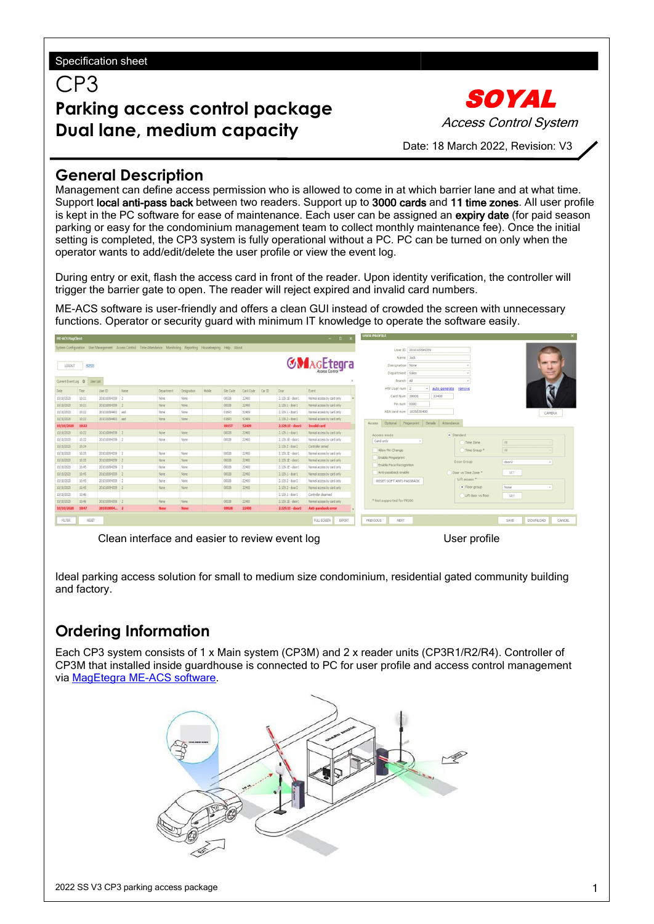CP3

# **Parking access control package Dual lane, medium capacity**

SOYAL Access Control System

Date: 18 March 2022, Revision: V3

### **General Description**

Management can define access permission who is allowed to come in at which barrier lane and at what time. Support local anti-pass back between two readers. Support up to 3000 cards and 11 time zones. All user profile is kept in the PC software for ease of maintenance. Each user can be assigned an expiry date (for paid season parking or easy for the condominium management team to collect monthly maintenance fee). Once the initial setting is completed, the CP3 system is fully operational without a PC. PC can be turned on only when the operator wants to add/edit/delete the user profile or view the event log.

During entry or exit, flash the access card in front of the reader. Upon identity verification, the controller will trigger the barrier gate to open. The reader will reject expired and invalid card numbers.

ME-ACS software is user-friendly and offers a clean GUI instead of crowded the screen with unnecessary functions. Operator or security guard with minimum IT knowledge to operate the software easily.

| <b>ME-ACS MagClient</b><br>$  -$ |              |                  |                                                                                                                  |             |             | <b>USER PROFILE</b> |           |           |        | $\times$          |                              |                           |                         |                     |                          |                                   |
|----------------------------------|--------------|------------------|------------------------------------------------------------------------------------------------------------------|-------------|-------------|---------------------|-----------|-----------|--------|-------------------|------------------------------|---------------------------|-------------------------|---------------------|--------------------------|-----------------------------------|
|                                  |              |                  | System Configuration User Management Access Control Time Attendance Monitoring Reporting Housekeeping Help About |             |             |                     |           |           |        |                   |                              |                           | User ID 201010094359    |                     |                          |                                   |
|                                  |              |                  |                                                                                                                  |             |             |                     |           |           |        |                   |                              |                           | Name Jack               |                     |                          |                                   |
| LOGOUT                           | <b>ADMIN</b> |                  |                                                                                                                  |             |             |                     |           |           |        |                   | <b>GNAGEtegra</b>            |                           | Designation None        |                     |                          |                                   |
|                                  |              |                  |                                                                                                                  |             |             |                     |           |           |        |                   |                              |                           | Department Sales        |                     |                          |                                   |
| Current Event Log O              | User List    |                  |                                                                                                                  |             |             |                     |           |           |        |                   | $\mathbf x$                  |                           | Branch All              |                     | $\;$                     |                                   |
| Date                             | Time         | User ID          | Name                                                                                                             | Department  | Designation | Mobile              | Site Code | Card Code | Car ID | Door              | Event                        |                           | HW User num 2           |                     | auto generate<br>remove  |                                   |
| 10/10/2020                       | 10:21        | 201010094359 2   |                                                                                                                  | None        | None        |                     | 00028     | 22400     |        | 2.129.1E - door 1 | Normal access by card only   |                           | Card Num 28000          | 22400               |                          |                                   |
| 10/10/2020                       | 10:21        | 201010094359 2   |                                                                                                                  | None        | None        |                     | 00028     | 22400     |        | 2.129.1 - door 1  | Normal access by card only   |                           | Pin num 0000            |                     |                          |                                   |
| 10/10/2020                       | 10:22        | 201010094402 asd |                                                                                                                  | None        | None        |                     | 01693     | 52409     |        | 2.129.1 - door 1  | Normal access by card only   |                           | ABA card num 1835030400 |                     |                          |                                   |
| 10/10/2020                       | 10:22        | 201010094402 asd |                                                                                                                  | None        | None        |                     | 01693     | 52409     |        | 2.129.2 - door 2  | Normal access by card only   |                           |                         |                     |                          | CAMERA                            |
| 10/10/2020                       | 10:22        |                  |                                                                                                                  |             |             |                     | 00157     | 52409     |        | 2.129.1E - door1  | <b>Invalid card</b>          | Optional<br>Access        |                         | Fingerprint Details | Attendance               |                                   |
| 10/10/2020                       | 10:22        | 201010094359 2   |                                                                                                                  | None        | None        |                     | 00028     | 22400     |        | 2.129.1 - door 1  | Normal access by card only   |                           |                         |                     |                          |                                   |
| 10/10/2020                       | 10:22        | 201010094359 2   |                                                                                                                  | None        | None        |                     | 00028     | 22400     |        | 2.129.1E - door 1 | Normal access by card only   | Access mode<br>Card only  |                         |                     | · Standard               |                                   |
| 10/10/2020                       | 10:24        |                  |                                                                                                                  |             |             |                     |           |           |        | 2.129.2 - door 2  | Controller armed             |                           |                         |                     | Time Zone                | AI                                |
| 10/10/2020                       | 10:35        | 201010094359 2   |                                                                                                                  | None        | None        |                     | 00028     | 22400     |        | 2.129.1E - door 1 | Normal access by card only   | Allow Pin Change          |                         |                     | Time Group. <sup>*</sup> | Al                                |
| 10/10/2020                       | 10:35        | 201010094359 2   |                                                                                                                  | None        | None        |                     | 00028     | 22400     |        | 2.129.1E - door 1 | Normal access by card only   | Enable Fingerprint        |                         |                     | Door Group               | door <sub>2</sub><br>$\;$         |
| 10/10/2020                       | 10:45        | 201010094359 2   |                                                                                                                  | None        | None        |                     | 00028     | 22400     |        | 2.129.1E - door 1 | Normal access by card only   | Enable Face Recognition   |                         |                     |                          |                                   |
| 10/10/2020                       | 10:45        | 201010094359 2   |                                                                                                                  | <b>None</b> | None        |                     | 00028     | 22400     |        | 2.129.1 - door 1  | Normal access by card only   | Anti-passback enable      |                         |                     | Door vs Time Zone *      | SET                               |
| 10/10/2020                       | 10:45        | 201010094359 2   |                                                                                                                  | None        | None        |                     | 00028     | 22400     |        | 2.129.2 - door 2  | Normal access by card only   | RESET SOFT ANTI-PASSBACK  |                         |                     | -Lift access *           |                                   |
| 10/10/2020                       | 10:45        | 201010094359 2   |                                                                                                                  | None        | None        |                     | 00028     | 22400     |        | 2.129.2 - door 2  | Normal access by card only   |                           |                         |                     | · Floor group            | None<br>$\;$                      |
| 10/10/2020                       | 10:46        |                  |                                                                                                                  |             |             |                     |           |           |        | 2.129.1 - door 1  | Controller disarmed          |                           |                         |                     | Lift door vs floor       | SET                               |
| 10/10/2020                       | 10:46        | 201010094359 2   |                                                                                                                  | None        | None        |                     | 00028     | 22400     |        | 2.129.1E - door 1 | Normal access by card only   | * Not supported for FR300 |                         |                     |                          |                                   |
| 10/10/2020                       | 10:47        | 201010094 2      |                                                                                                                  | <b>None</b> | <b>None</b> |                     | 00028     | 22400     |        | 2.129.1E - door1  | Anti-passback error          |                           |                         |                     |                          |                                   |
| <b>FILTER</b>                    | RESET        |                  |                                                                                                                  |             |             |                     |           |           |        |                   | FULL SCREEN<br><b>EXPORT</b> | PREVIOUS                  | <b>NEXT</b>             |                     |                          | SAVE<br><b>DOWNLOAD</b><br>CANCEL |

Clean interface and easier to review event log values of the User profile

Ideal parking access solution for small to medium size condominium, residential gated community building and factory.

## **Ordering Information**

Each CP3 system consists of 1 x Main system (CP3M) and 2 x reader units (CP3R1/R2/R4). Controller of CP3M that installed inside guardhouse isconnected to PC foruser profile and access control management via [MagEtegra](https://magnet.com.my/product/magetegra-me-acs-lite/) ME-ACS software.

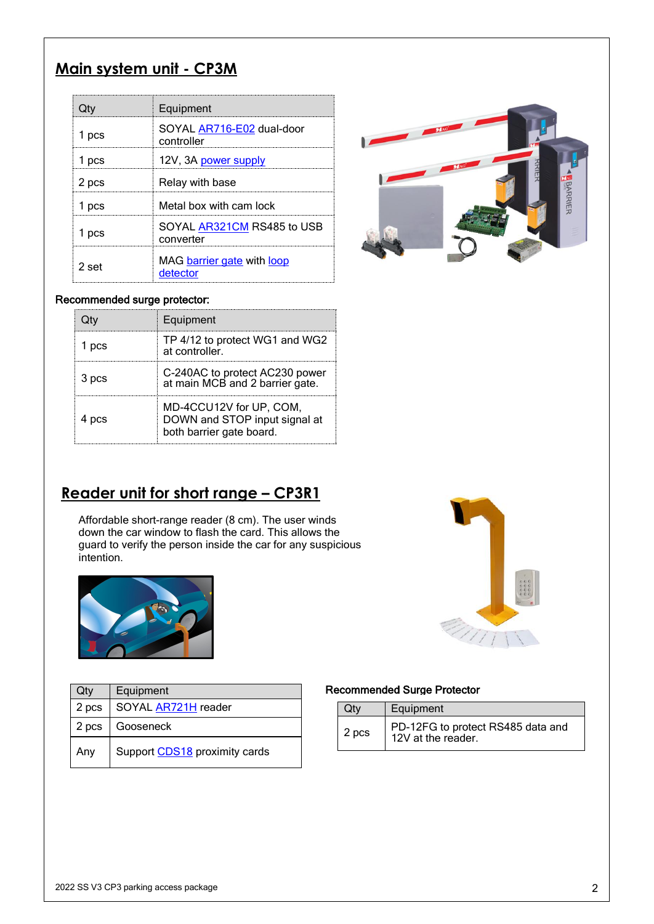## **Main system unit - CP3M**

|       | Equipment                                      |                                                                                                                                                                                                                                |
|-------|------------------------------------------------|--------------------------------------------------------------------------------------------------------------------------------------------------------------------------------------------------------------------------------|
| 1 pcs | SOYAL <b>AR716-E02</b> dual-door<br>controller | The Magazine of the Magazine of the Company of the Company of the Company of the Company of the Company of the Company of the Company of the Company of the Company of the Company of the Company of the Company of the Compan |
| 1 pcs | 12V, 3A power supply                           |                                                                                                                                                                                                                                |
| 2 pcs | Relay with base                                |                                                                                                                                                                                                                                |
| 1 pcs | Metal box with cam lock                        |                                                                                                                                                                                                                                |
| 1 pcs | SOYAL AR321CM RS485 to USB<br>converter        |                                                                                                                                                                                                                                |
| 2 set | MAG barrier gate with loop<br>detector         |                                                                                                                                                                                                                                |

#### Recommended surge protector:

|            | Equipment                                                                            |
|------------|--------------------------------------------------------------------------------------|
| <b>DCS</b> | TP 4/12 to protect WG1 and WG2<br>at controller.                                     |
| 3 pcs      | C-240AC to protect AC230 power<br>at main MCB and 2 barrier gate.                    |
| 4 pcs      | MD-4CCU12V for UP, COM,<br>DOWN and STOP input signal at<br>both barrier gate board. |



# **Reader unit for short range – CP3R1**

Affordable short-range reader (8 cm). The user winds down the car window to flash the card. This allows the guard to verify the person inside the car for any suspicious intention.



| Qty   | Equipment                     | Recomme |
|-------|-------------------------------|---------|
| 2 pcs | SOYAL <b>AR721H</b> reader    | Qtv     |
| 2 pcs | Gooseneck                     | 2 pcs   |
| Any   | Support CDS18 proximity cards |         |

#### Recommended Surge Protector

|       | Equipment                                               |
|-------|---------------------------------------------------------|
| 2 pcs | PD-12FG to protect RS485 data and<br>12V at the reader. |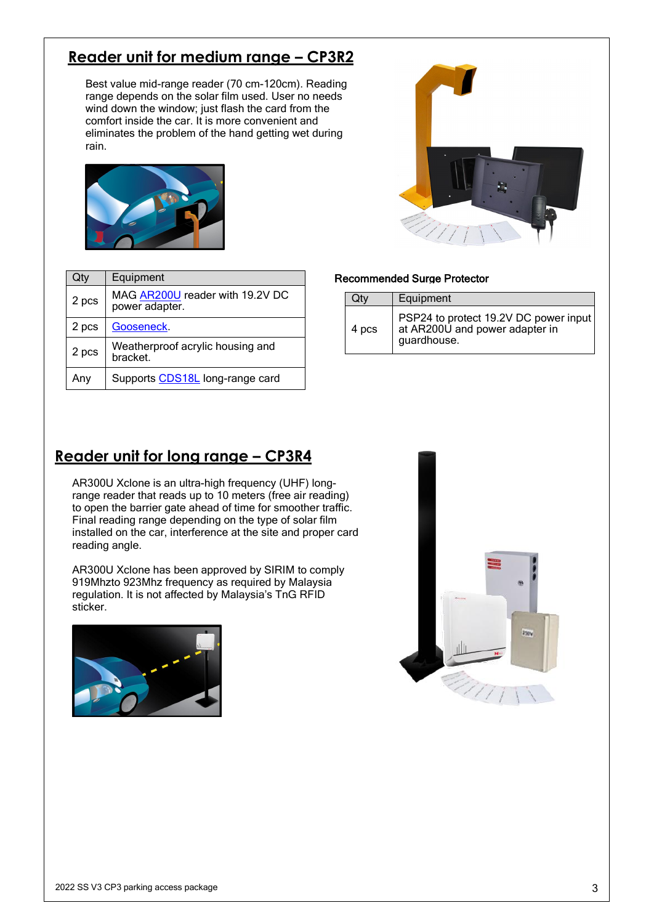# **Reader unit for medium range – CP3R2**

Best value mid-range reader (70 cm-120cm). Reading range depends on the solar film used. User no needs wind down the window; just flash the card from the comfort inside the car. It is more convenient and eliminates the problem of the hand getting wet during rain.



| ö<br>M, |  |
|---------|--|
|         |  |

| Qty   | Equipment                                         |       | <b>Recommended Surge</b> |
|-------|---------------------------------------------------|-------|--------------------------|
| 2 pcs | MAG AR200U reader with 19.2V DC<br>power adapter. | Qty   | Equipme                  |
| 2 pcs | Gooseneck.                                        | 4 pcs | PSP24 t<br>at AR20       |
| 2 pcs | Weatherproof acrylic housing and<br>bracket.      |       | guardho                  |
| Any   | Supports CDS18L long-range card                   |       |                          |

#### Recommended Surge Protector

| Equipment<br>Qtv                                                                                |  |
|-------------------------------------------------------------------------------------------------|--|
| PSP24 to protect 19.2V DC power input<br>at AR200U and power adapter in<br>4 pcs<br>guardhouse. |  |

## **Reader unit for long range – CP3R4**

AR300U Xclone is an ultra-high frequency (UHF) longrange reader that reads up to 10 meters (free air reading) to open the barrier gate ahead of time for smoother traffic. Final reading range depending on the type of solar film installed on the car, interference at the site and proper card reading angle.

AR300U Xclone has been approved by SIRIM to comply 919Mhzto 923Mhz frequency as required by Malaysia regulation. It is not affected by Malaysia's TnG RFID sticker.